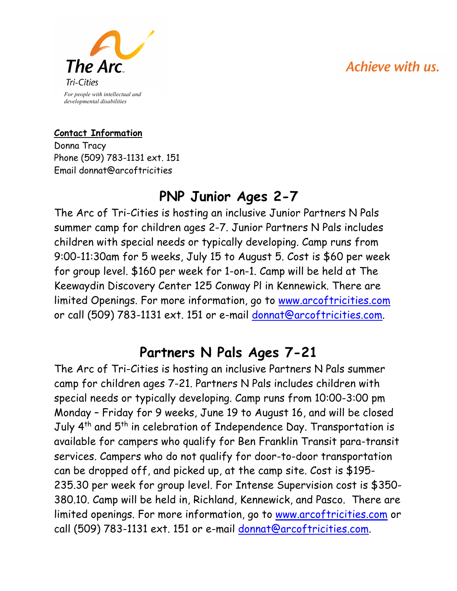# Achieve with us.



#### **Contact Information**

Donna Tracy Phone (509) 783-1131 ext. 151 Email donnat@arcoftricities

# **PNP Junior Ages 2-7**

The Arc of Tri-Cities is hosting an inclusive Junior Partners N Pals summer camp for children ages 2-7. Junior Partners N Pals includes children with special needs or typically developing. Camp runs from 9:00-11:30am for 5 weeks, July 15 to August 5. Cost is \$60 per week for group level. \$160 per week for 1-on-1. Camp will be held at The Keewaydin Discovery Center 125 Conway Pl in Kennewick. There are limited Openings. For more information, go to www.arcoftricities.com or call (509) 783-1131 ext. 151 or e-mail donnat@arcoftricities.com.

### **Partners N Pals Ages 7-21**

The Arc of Tri-Cities is hosting an inclusive Partners N Pals summer camp for children ages 7-21. Partners N Pals includes children with special needs or typically developing. Camp runs from 10:00-3:00 pm Monday – Friday for 9 weeks, June 19 to August 16, and will be closed July 4<sup>th</sup> and 5<sup>th</sup> in celebration of Independence Day. Transportation is available for campers who qualify for Ben Franklin Transit para-transit services. Campers who do not qualify for door-to-door transportation can be dropped off, and picked up, at the camp site. Cost is \$195- 235.30 per week for group level. For Intense Supervision cost is \$350- 380.10. Camp will be held in, Richland, Kennewick, and Pasco. There are limited openings. For more information, go to www.arcoftricities.com or call (509) 783-1131 ext. 151 or e-mail donnat@arcoftricities.com.